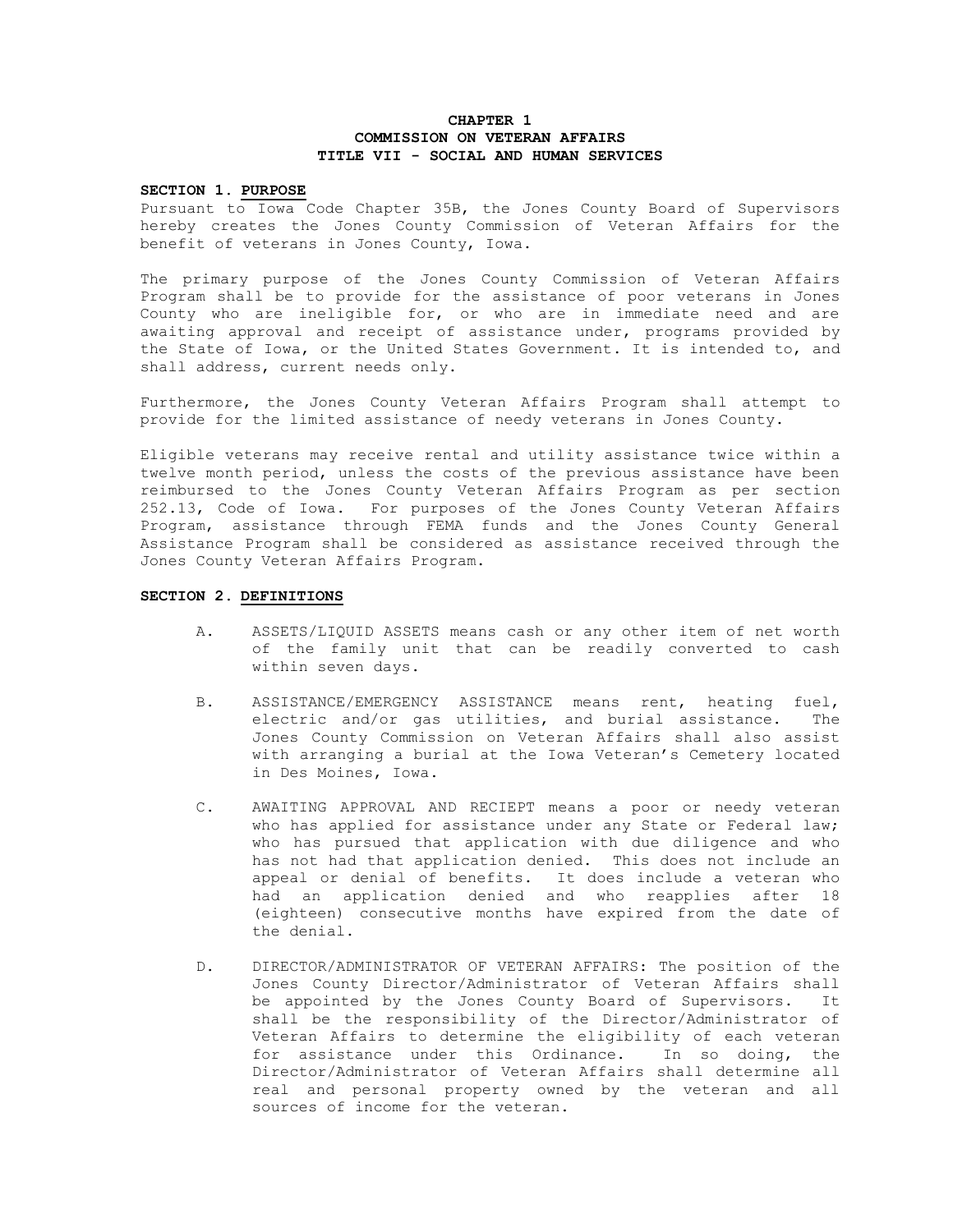# **CHAPTER 1 COMMISSION ON VETERAN AFFAIRS TITLE VII - SOCIAL AND HUMAN SERVICES**

#### **SECTION 1. PURPOSE**

Pursuant to Iowa Code Chapter 35B, the Jones County Board of Supervisors hereby creates the Jones County Commission of Veteran Affairs for the benefit of veterans in Jones County, Iowa.

The primary purpose of the Jones County Commission of Veteran Affairs Program shall be to provide for the assistance of poor veterans in Jones County who are ineligible for, or who are in immediate need and are awaiting approval and receipt of assistance under, programs provided by the State of Iowa, or the United States Government. It is intended to, and shall address, current needs only.

Furthermore, the Jones County Veteran Affairs Program shall attempt to provide for the limited assistance of needy veterans in Jones County.

Eligible veterans may receive rental and utility assistance twice within a twelve month period, unless the costs of the previous assistance have been reimbursed to the Jones County Veteran Affairs Program as per section 252.13, Code of Iowa. For purposes of the Jones County Veteran Affairs Program, assistance through FEMA funds and the Jones County General Assistance Program shall be considered as assistance received through the Jones County Veteran Affairs Program.

## **SECTION 2. DEFINITIONS**

- A. ASSETS/LIQUID ASSETS means cash or any other item of net worth of the family unit that can be readily converted to cash within seven days.
- B. ASSISTANCE/EMERGENCY ASSISTANCE means rent, heating fuel, electric and/or gas utilities, and burial assistance. The Jones County Commission on Veteran Affairs shall also assist with arranging a burial at the Iowa Veteran's Cemetery located in Des Moines, Iowa.
- C. AWAITING APPROVAL AND RECIEPT means a poor or needy veteran who has applied for assistance under any State or Federal law; who has pursued that application with due diligence and who has not had that application denied. This does not include an appeal or denial of benefits. It does include a veteran who had an application denied and who reapplies after 18 (eighteen) consecutive months have expired from the date of the denial.
- D. DIRECTOR/ADMINISTRATOR OF VETERAN AFFAIRS: The position of the Jones County Director/Administrator of Veteran Affairs shall be appointed by the Jones County Board of Supervisors. It shall be the responsibility of the Director/Administrator of Veteran Affairs to determine the eligibility of each veteran for assistance under this Ordinance. In so doing, the Director/Administrator of Veteran Affairs shall determine all real and personal property owned by the veteran and all sources of income for the veteran.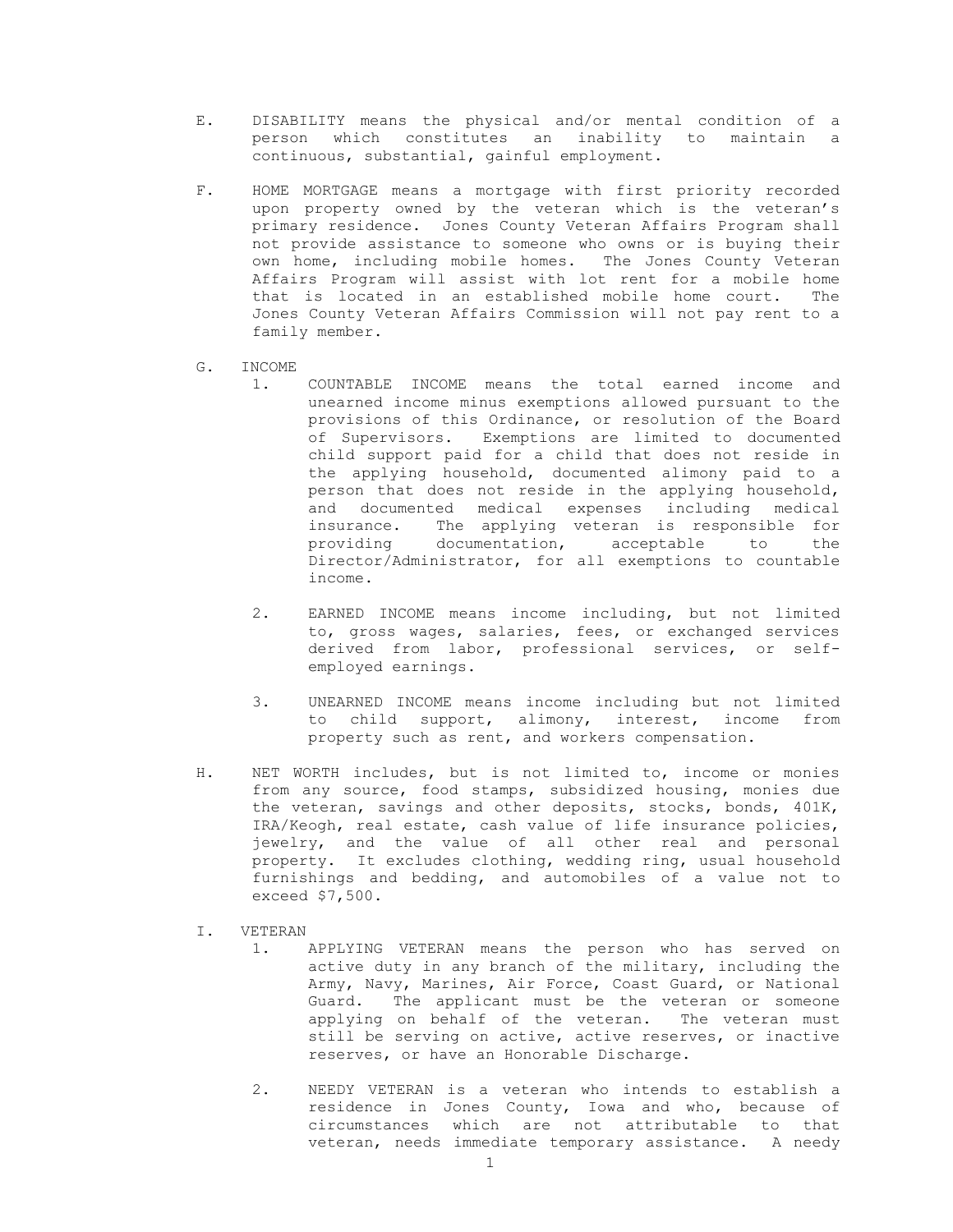- E. DISABILITY means the physical and/or mental condition of a person which constitutes an inability to maintain a continuous, substantial, gainful employment.
- F. HOME MORTGAGE means a mortgage with first priority recorded upon property owned by the veteran which is the veteran's primary residence. Jones County Veteran Affairs Program shall not provide assistance to someone who owns or is buying their own home, including mobile homes. The Jones County Veteran Affairs Program will assist with lot rent for a mobile home that is located in an established mobile home court. The Jones County Veteran Affairs Commission will not pay rent to a family member.
- G. INCOME
	- 1. COUNTABLE INCOME means the total earned income and unearned income minus exemptions allowed pursuant to the provisions of this Ordinance, or resolution of the Board of Supervisors. Exemptions are limited to documented child support paid for a child that does not reside in the applying household, documented alimony paid to a person that does not reside in the applying household, and documented medical expenses including medical insurance. The applying veteran is responsible for providing documentation, acceptable to the Director/Administrator, for all exemptions to countable income.
	- 2. EARNED INCOME means income including, but not limited to, gross wages, salaries, fees, or exchanged services derived from labor, professional services, or selfemployed earnings.
	- 3. UNEARNED INCOME means income including but not limited to child support, alimony, interest, income from property such as rent, and workers compensation.
- H. NET WORTH includes, but is not limited to, income or monies from any source, food stamps, subsidized housing, monies due the veteran, savings and other deposits, stocks, bonds, 401K, IRA/Keogh, real estate, cash value of life insurance policies, jewelry, and the value of all other real and personal property. It excludes clothing, wedding ring, usual household furnishings and bedding, and automobiles of a value not to exceed \$7,500.
- I. VETERAN
	- 1. APPLYING VETERAN means the person who has served on active duty in any branch of the military, including the Army, Navy, Marines, Air Force, Coast Guard, or National Guard. The applicant must be the veteran or someone applying on behalf of the veteran. The veteran must still be serving on active, active reserves, or inactive reserves, or have an Honorable Discharge.
	- 2. NEEDY VETERAN is a veteran who intends to establish a residence in Jones County, Iowa and who, because of circumstances which are not attributable to that veteran, needs immediate temporary assistance. A needy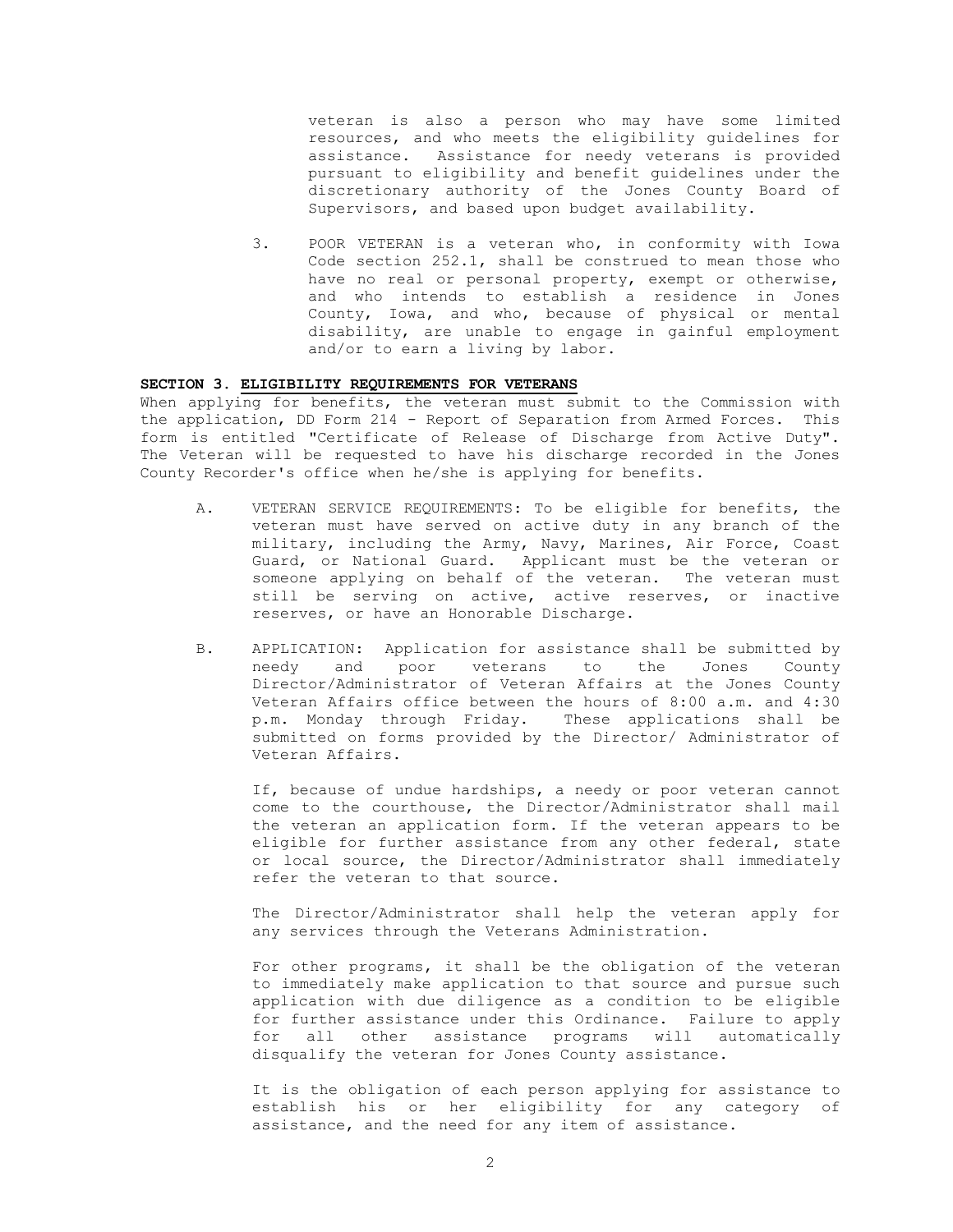veteran is also a person who may have some limited resources, and who meets the eligibility guidelines for assistance. Assistance for needy veterans is provided pursuant to eligibility and benefit guidelines under the discretionary authority of the Jones County Board of Supervisors, and based upon budget availability.

3. POOR VETERAN is a veteran who, in conformity with Iowa Code section 252.1, shall be construed to mean those who have no real or personal property, exempt or otherwise, and who intends to establish a residence in Jones County, Iowa, and who, because of physical or mental disability, are unable to engage in gainful employment and/or to earn a living by labor.

### **SECTION 3. ELIGIBILITY REQUIREMENTS FOR VETERANS**

When applying for benefits, the veteran must submit to the Commission with the application, DD Form 214 - Report of Separation from Armed Forces. This form is entitled "Certificate of Release of Discharge from Active Duty". The Veteran will be requested to have his discharge recorded in the Jones County Recorder's office when he/she is applying for benefits.

- A. VETERAN SERVICE REQUIREMENTS: To be eligible for benefits, the veteran must have served on active duty in any branch of the military, including the Army, Navy, Marines, Air Force, Coast Guard, or National Guard. Applicant must be the veteran or someone applying on behalf of the veteran. The veteran must still be serving on active, active reserves, or inactive reserves, or have an Honorable Discharge.
- B. APPLICATION: Application for assistance shall be submitted by needy and poor veterans to the Jones County Director/Administrator of Veteran Affairs at the Jones County Veteran Affairs office between the hours of 8:00 a.m. and 4:30 p.m. Monday through Friday. These applications shall be submitted on forms provided by the Director/ Administrator of Veteran Affairs.

If, because of undue hardships, a needy or poor veteran cannot come to the courthouse, the Director/Administrator shall mail the veteran an application form. If the veteran appears to be eligible for further assistance from any other federal, state or local source, the Director/Administrator shall immediately refer the veteran to that source.

The Director/Administrator shall help the veteran apply for any services through the Veterans Administration.

For other programs, it shall be the obligation of the veteran to immediately make application to that source and pursue such application with due diligence as a condition to be eligible for further assistance under this Ordinance. Failure to apply for all other assistance programs will automatically disqualify the veteran for Jones County assistance.

It is the obligation of each person applying for assistance to establish his or her eligibility for any category of assistance, and the need for any item of assistance.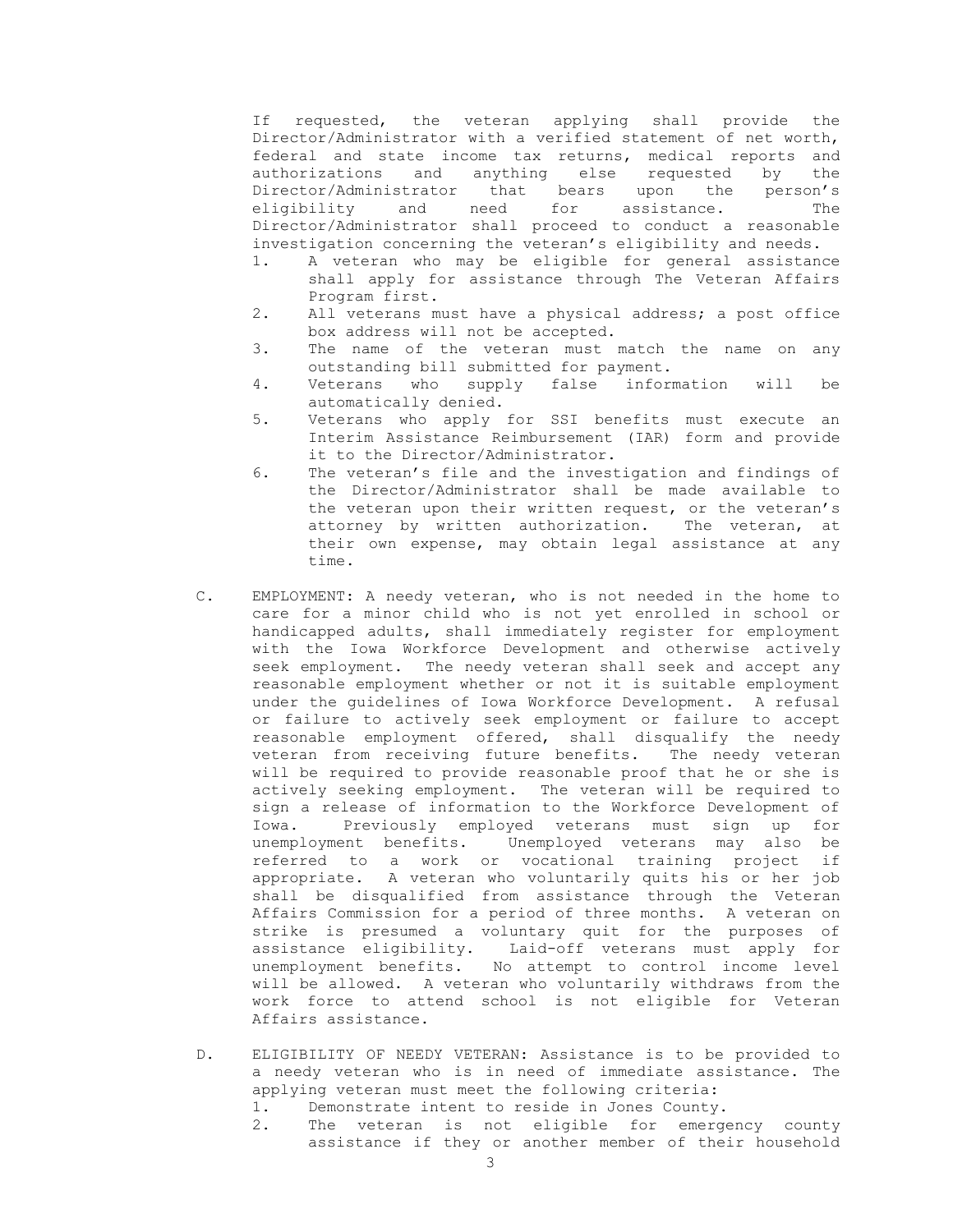If requested, the veteran applying shall provide the Director/Administrator with a verified statement of net worth, federal and state income tax returns, medical reports and authorizations and anything else requested by the Director/Administrator that bears upon the person's eligibility and need for assistance. The Director/Administrator shall proceed to conduct a reasonable investigation concerning the veteran's eligibility and needs.

- 1. A veteran who may be eligible for general assistance shall apply for assistance through The Veteran Affairs Program first.
- 2. All veterans must have a physical address; a post office box address will not be accepted.
- 3. The name of the veteran must match the name on any outstanding bill submitted for payment.
- 4. Veterans who supply false information will be automatically denied.
- 5. Veterans who apply for SSI benefits must execute an Interim Assistance Reimbursement (IAR) form and provide it to the Director/Administrator.
- 6. The veteran's file and the investigation and findings of the Director/Administrator shall be made available to the veteran upon their written request, or the veteran's attorney by written authorization. The veteran, at their own expense, may obtain legal assistance at any time.
- C. EMPLOYMENT: A needy veteran, who is not needed in the home to care for a minor child who is not yet enrolled in school or handicapped adults, shall immediately register for employment with the Iowa Workforce Development and otherwise actively seek employment. The needy veteran shall seek and accept any reasonable employment whether or not it is suitable employment under the guidelines of Iowa Workforce Development. A refusal or failure to actively seek employment or failure to accept reasonable employment offered, shall disqualify the needy veteran from receiving future benefits. The needy veteran will be required to provide reasonable proof that he or she is actively seeking employment. The veteran will be required to sign a release of information to the Workforce Development of Iowa. Previously employed veterans must sign up for unemployment benefits. Unemployed veterans may also be referred to a work or vocational training project if appropriate. A veteran who voluntarily quits his or her job shall be disqualified from assistance through the Veteran Affairs Commission for a period of three months. A veteran on strike is presumed a voluntary quit for the purposes of assistance eligibility. Laid-off veterans must apply for unemployment benefits. No attempt to control income level will be allowed. A veteran who voluntarily withdraws from the work force to attend school is not eligible for Veteran Affairs assistance.
- D. ELIGIBILITY OF NEEDY VETERAN: Assistance is to be provided to a needy veteran who is in need of immediate assistance. The applying veteran must meet the following criteria:
	- 1. Demonstrate intent to reside in Jones County.
	- 2. The veteran is not eligible for emergency county assistance if they or another member of their household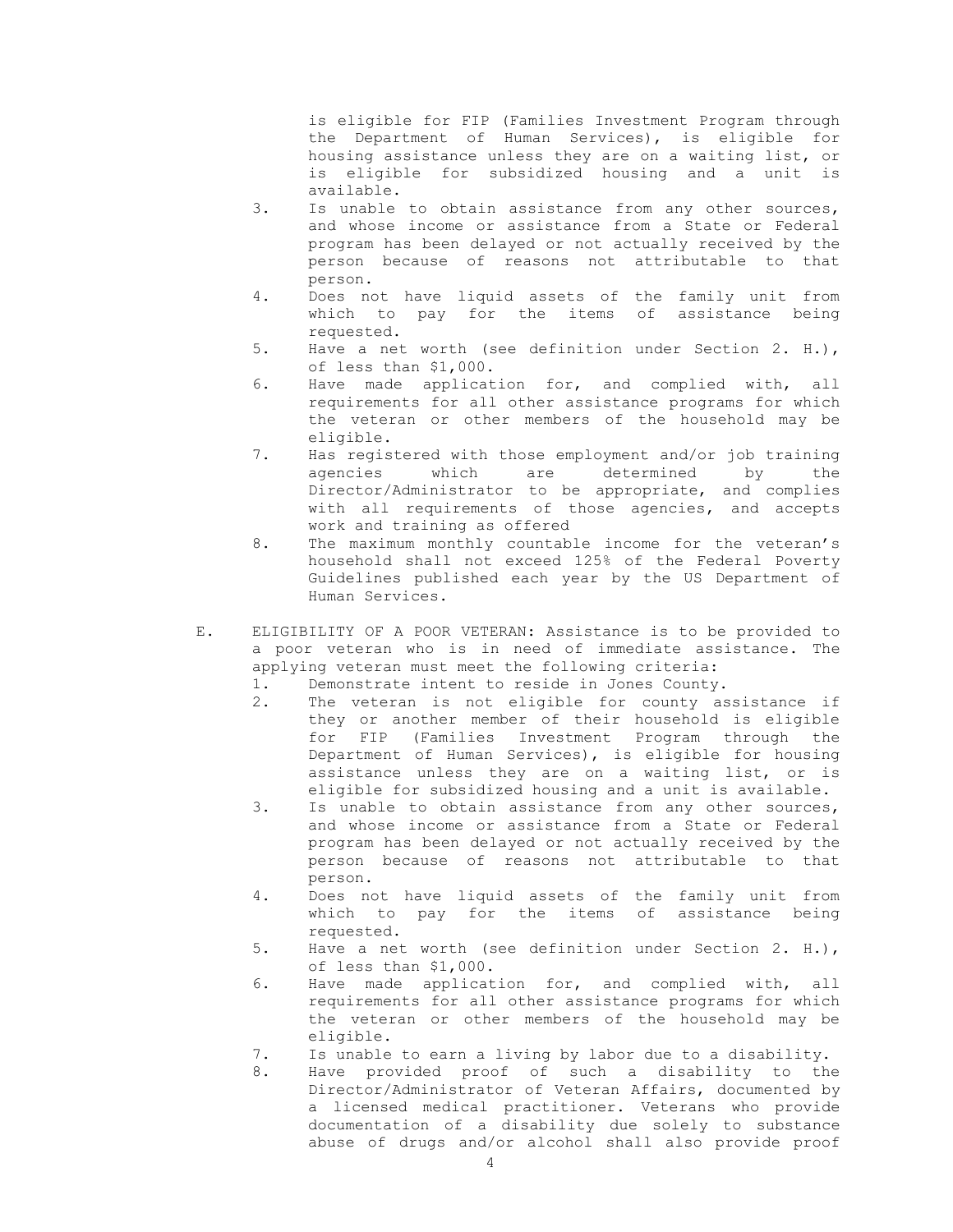is eligible for FIP (Families Investment Program through the Department of Human Services), is eligible for housing assistance unless they are on a waiting list, or is eligible for subsidized housing and a unit is available.

- 3. Is unable to obtain assistance from any other sources, and whose income or assistance from a State or Federal program has been delayed or not actually received by the person because of reasons not attributable to that person.
- 4. Does not have liquid assets of the family unit from which to pay for the items of assistance being requested.
- 5. Have a net worth (see definition under Section 2. H.), of less than \$1,000.
- 6. Have made application for, and complied with, all requirements for all other assistance programs for which the veteran or other members of the household may be eligible.
- 7. Has registered with those employment and/or job training agencies which are determined by the Director/Administrator to be appropriate, and complies with all requirements of those agencies, and accepts work and training as offered
- 8. The maximum monthly countable income for the veteran's household shall not exceed 125% of the Federal Poverty Guidelines published each year by the US Department of Human Services.
- E. ELIGIBILITY OF A POOR VETERAN: Assistance is to be provided to a poor veteran who is in need of immediate assistance. The applying veteran must meet the following criteria:
	- 1. Demonstrate intent to reside in Jones County.
	- 2. The veteran is not eligible for county assistance if they or another member of their household is eligible for FIP (Families Investment Program through the Department of Human Services), is eligible for housing assistance unless they are on a waiting list, or is eligible for subsidized housing and a unit is available.
	- 3. Is unable to obtain assistance from any other sources, and whose income or assistance from a State or Federal program has been delayed or not actually received by the person because of reasons not attributable to that person.
	- 4. Does not have liquid assets of the family unit from which to pay for the items of assistance being requested.
	- 5. Have a net worth (see definition under Section 2. H.), of less than \$1,000.
	- 6. Have made application for, and complied with, all requirements for all other assistance programs for which the veteran or other members of the household may be eligible.
	- 7. Is unable to earn a living by labor due to a disability.
	- 8. Have provided proof of such a disability to the Director/Administrator of Veteran Affairs, documented by a licensed medical practitioner. Veterans who provide documentation of a disability due solely to substance abuse of drugs and/or alcohol shall also provide proof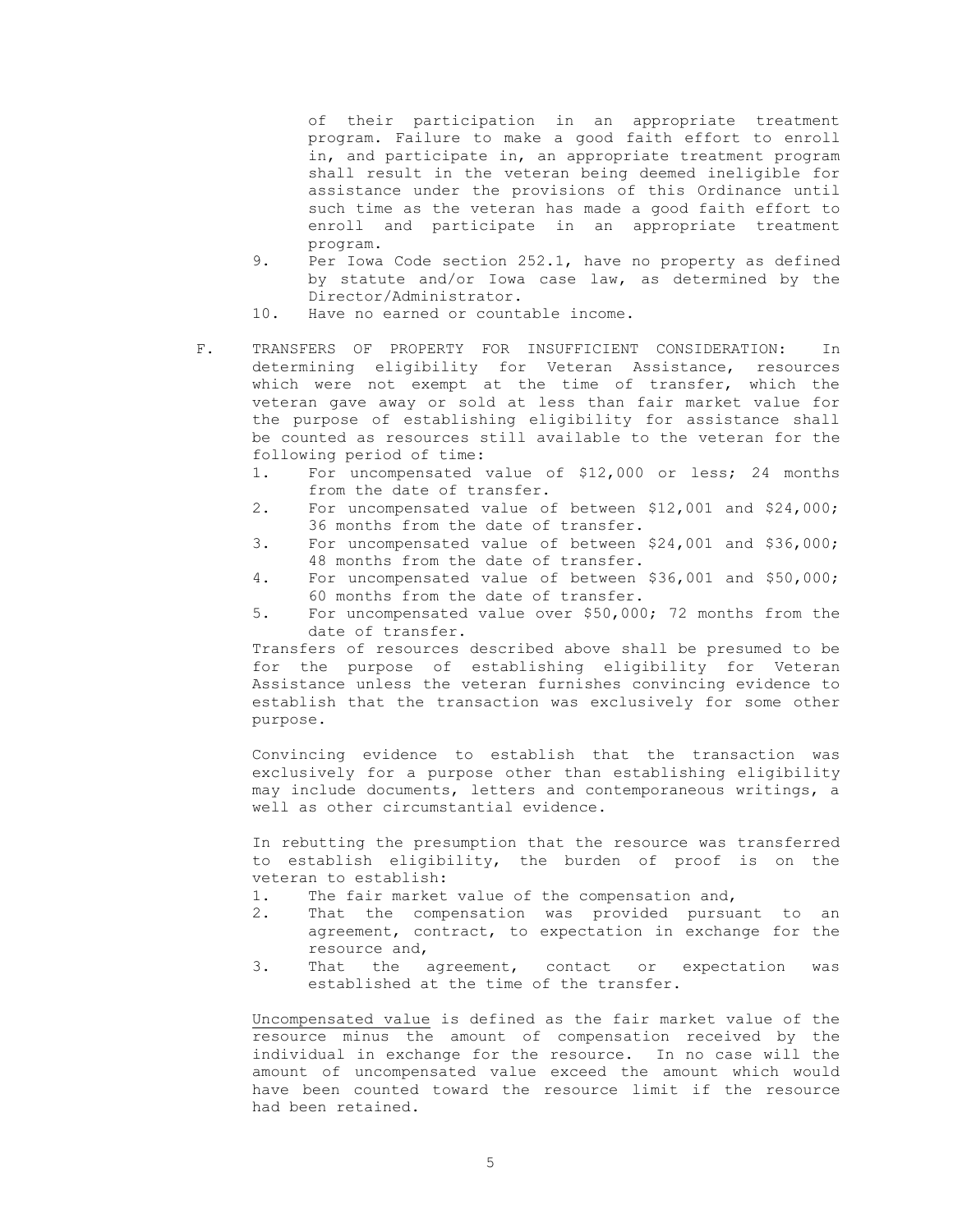of their participation in an appropriate treatment program. Failure to make a good faith effort to enroll in, and participate in, an appropriate treatment program shall result in the veteran being deemed ineligible for assistance under the provisions of this Ordinance until such time as the veteran has made a good faith effort to enroll and participate in an appropriate treatment program.

- 9. Per Iowa Code section 252.1, have no property as defined by statute and/or Iowa case law, as determined by the Director/Administrator.
- 10. Have no earned or countable income.
- F. TRANSFERS OF PROPERTY FOR INSUFFICIENT CONSIDERATION: In determining eligibility for Veteran Assistance, resources which were not exempt at the time of transfer, which the veteran gave away or sold at less than fair market value for the purpose of establishing eligibility for assistance shall be counted as resources still available to the veteran for the following period of time:
	- 1. For uncompensated value of \$12,000 or less; 24 months from the date of transfer.
	- 2. For uncompensated value of between \$12,001 and \$24,000; 36 months from the date of transfer.
	- 3. For uncompensated value of between \$24,001 and \$36,000; 48 months from the date of transfer.
	- 4. For uncompensated value of between \$36,001 and \$50,000; 60 months from the date of transfer.
	- 5. For uncompensated value over \$50,000; 72 months from the date of transfer.

Transfers of resources described above shall be presumed to be for the purpose of establishing eligibility for Veteran Assistance unless the veteran furnishes convincing evidence to establish that the transaction was exclusively for some other purpose.

Convincing evidence to establish that the transaction was exclusively for a purpose other than establishing eligibility may include documents, letters and contemporaneous writings, a well as other circumstantial evidence.

In rebutting the presumption that the resource was transferred to establish eligibility, the burden of proof is on the veteran to establish:

- 1. The fair market value of the compensation and,
- 2. That the compensation was provided pursuant to an agreement, contract, to expectation in exchange for the resource and,
- 3. That the agreement, contact or expectation was established at the time of the transfer.

Uncompensated value is defined as the fair market value of the resource minus the amount of compensation received by the individual in exchange for the resource. In no case will the amount of uncompensated value exceed the amount which would have been counted toward the resource limit if the resource had been retained.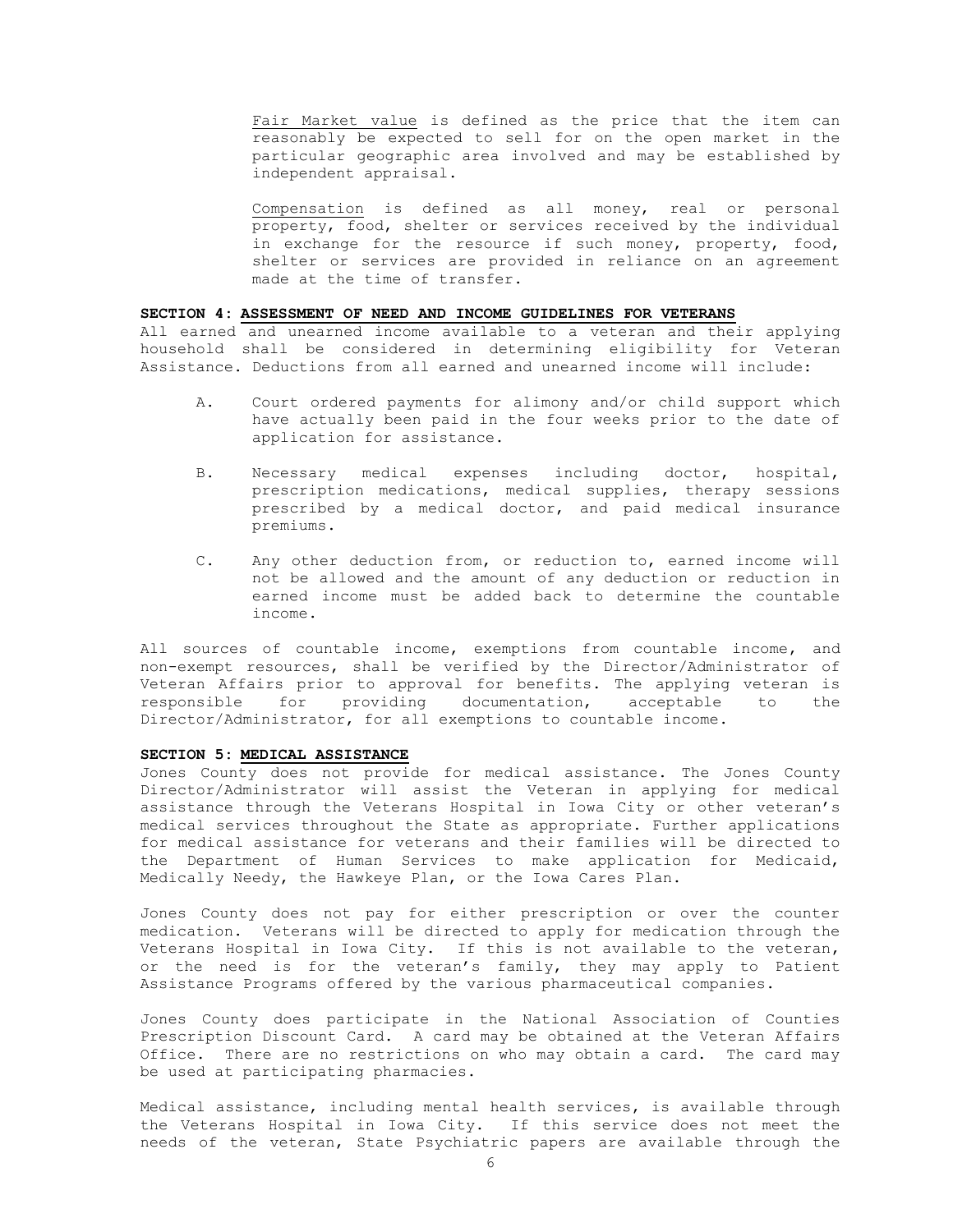Fair Market value is defined as the price that the item can reasonably be expected to sell for on the open market in the particular geographic area involved and may be established by independent appraisal.

Compensation is defined as all money, real or personal property, food, shelter or services received by the individual in exchange for the resource if such money, property, food, shelter or services are provided in reliance on an agreement made at the time of transfer.

## **SECTION 4: ASSESSMENT OF NEED AND INCOME GUIDELINES FOR VETERANS**

All earned and unearned income available to a veteran and their applying household shall be considered in determining eligibility for Veteran Assistance. Deductions from all earned and unearned income will include:

- A. Court ordered payments for alimony and/or child support which have actually been paid in the four weeks prior to the date of application for assistance.
- B. Necessary medical expenses including doctor, hospital, prescription medications, medical supplies, therapy sessions prescribed by a medical doctor, and paid medical insurance premiums.
- C. Any other deduction from, or reduction to, earned income will not be allowed and the amount of any deduction or reduction in earned income must be added back to determine the countable income.

All sources of countable income, exemptions from countable income, and non-exempt resources, shall be verified by the Director/Administrator of Veteran Affairs prior to approval for benefits. The applying veteran is responsible for providing documentation, acceptable to the Director/Administrator, for all exemptions to countable income.

## **SECTION 5: MEDICAL ASSISTANCE**

Jones County does not provide for medical assistance. The Jones County Director/Administrator will assist the Veteran in applying for medical assistance through the Veterans Hospital in Iowa City or other veteran's medical services throughout the State as appropriate. Further applications for medical assistance for veterans and their families will be directed to the Department of Human Services to make application for Medicaid, Medically Needy, the Hawkeye Plan, or the Iowa Cares Plan.

Jones County does not pay for either prescription or over the counter medication. Veterans will be directed to apply for medication through the Veterans Hospital in Iowa City. If this is not available to the veteran, or the need is for the veteran's family, they may apply to Patient Assistance Programs offered by the various pharmaceutical companies.

Jones County does participate in the National Association of Counties Prescription Discount Card. A card may be obtained at the Veteran Affairs Office. There are no restrictions on who may obtain a card. The card may be used at participating pharmacies.

Medical assistance, including mental health services, is available through the Veterans Hospital in Iowa City. If this service does not meet the needs of the veteran, State Psychiatric papers are available through the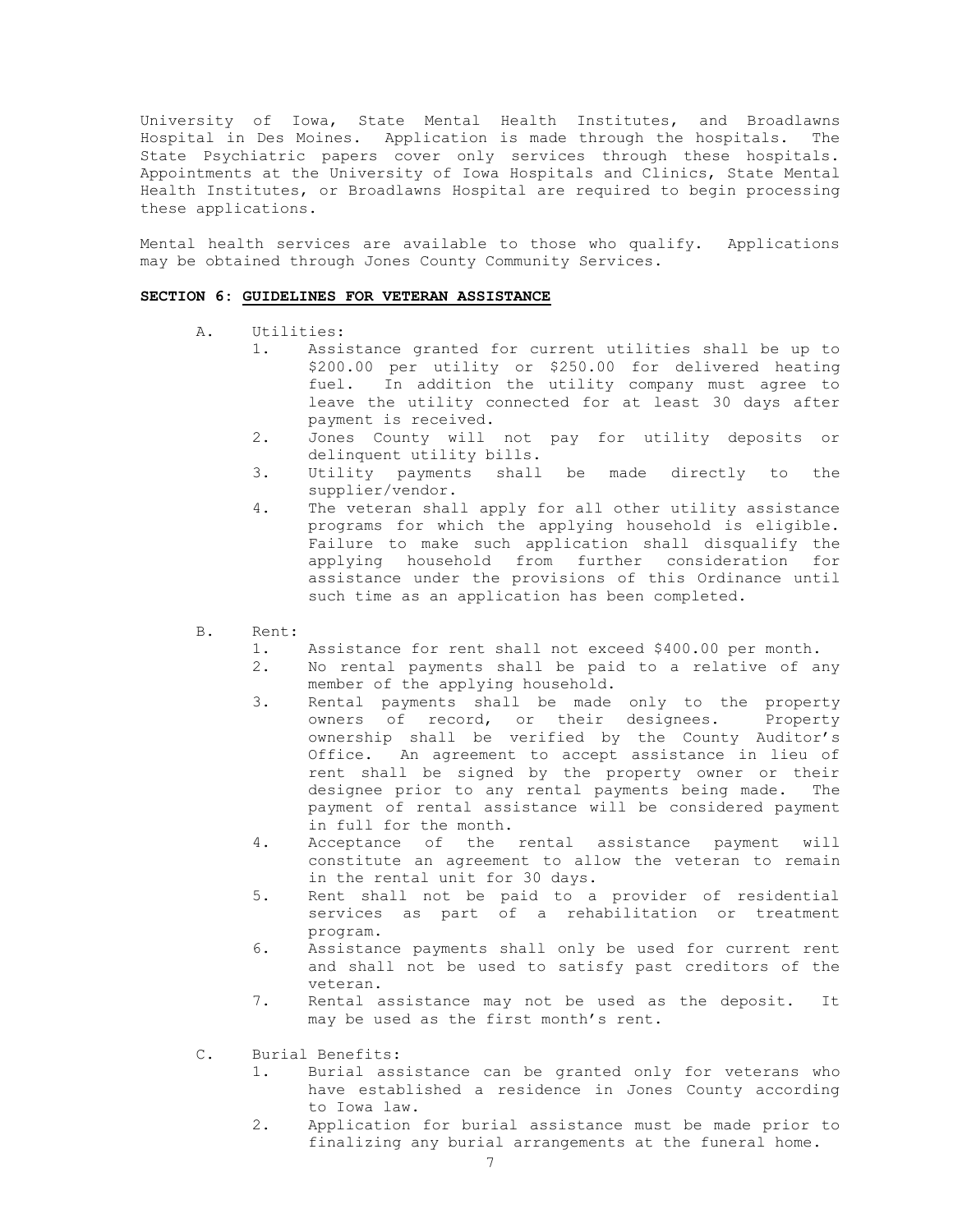University of Iowa, State Mental Health Institutes, and Broadlawns Hospital in Des Moines. Application is made through the hospitals. The State Psychiatric papers cover only services through these hospitals. Appointments at the University of Iowa Hospitals and Clinics, State Mental Health Institutes, or Broadlawns Hospital are required to begin processing these applications.

Mental health services are available to those who qualify. Applications may be obtained through Jones County Community Services.

#### **SECTION 6: GUIDELINES FOR VETERAN ASSISTANCE**

- A. Utilities:
	- 1. Assistance granted for current utilities shall be up to \$200.00 per utility or \$250.00 for delivered heating fuel. In addition the utility company must agree to leave the utility connected for at least 30 days after payment is received.
	- 2. Jones County will not pay for utility deposits or delinquent utility bills.
	- 3. Utility payments shall be made directly to the supplier/vendor.
	- 4. The veteran shall apply for all other utility assistance programs for which the applying household is eligible. Failure to make such application shall disqualify the applying household from further consideration for assistance under the provisions of this Ordinance until such time as an application has been completed.
- B. Rent:
	- 1. Assistance for rent shall not exceed \$400.00 per month.
	- 2. No rental payments shall be paid to a relative of any member of the applying household.
	- 3. Rental payments shall be made only to the property owners of record, or their designees. Property ownership shall be verified by the County Auditor's Office. An agreement to accept assistance in lieu of rent shall be signed by the property owner or their designee prior to any rental payments being made. The payment of rental assistance will be considered payment in full for the month.
	- 4. Acceptance of the rental assistance payment will constitute an agreement to allow the veteran to remain in the rental unit for 30 days.
	- 5. Rent shall not be paid to a provider of residential services as part of a rehabilitation or treatment program.
	- 6. Assistance payments shall only be used for current rent and shall not be used to satisfy past creditors of the veteran.
	- 7. Rental assistance may not be used as the deposit. It may be used as the first month's rent.
- C. Burial Benefits:
	- 1. Burial assistance can be granted only for veterans who have established a residence in Jones County according to Iowa law.
	- 2. Application for burial assistance must be made prior to finalizing any burial arrangements at the funeral home.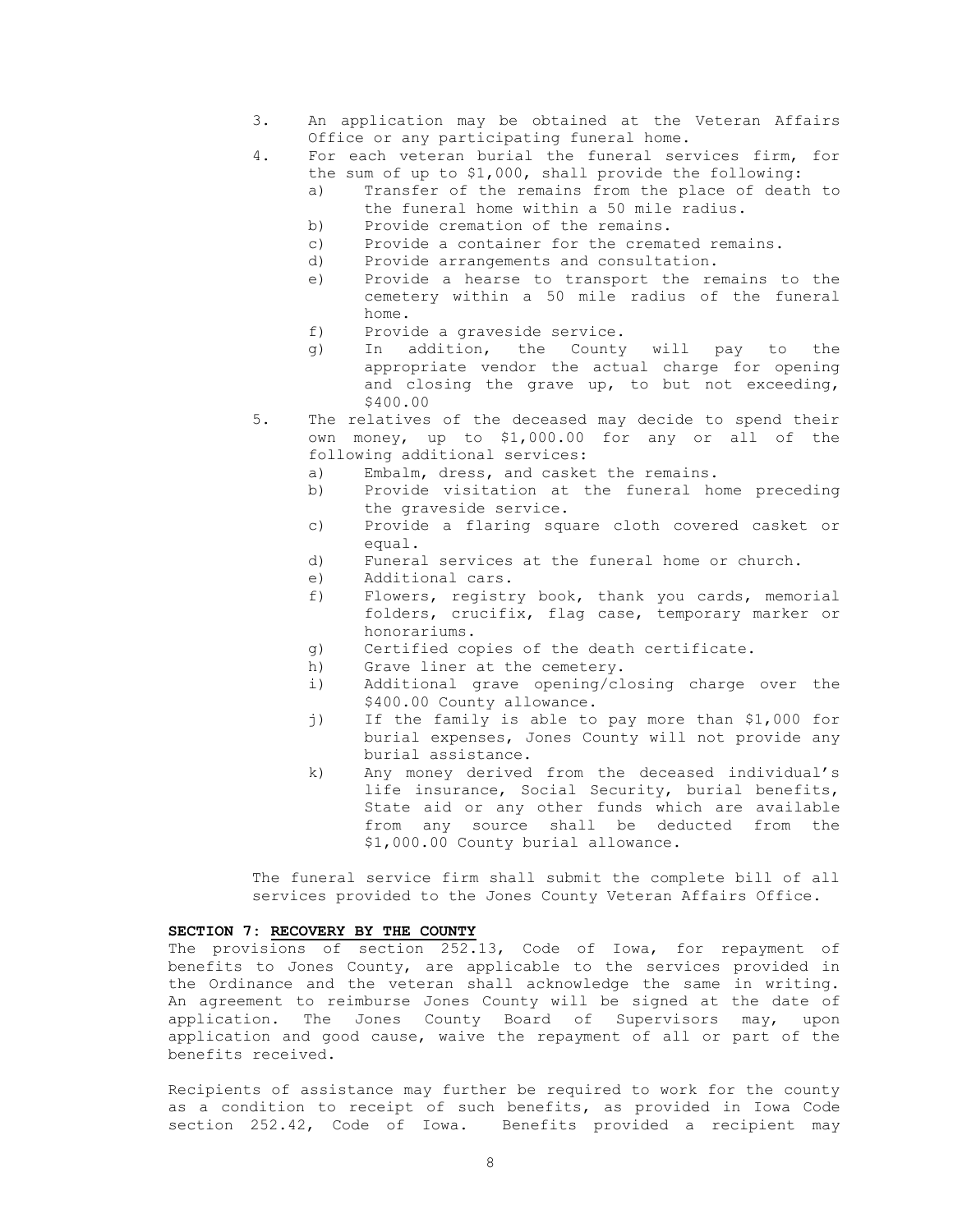- 3. An application may be obtained at the Veteran Affairs Office or any participating funeral home.
- 4. For each veteran burial the funeral services firm, for the sum of up to \$1,000, shall provide the following:
	- a) Transfer of the remains from the place of death to the funeral home within a 50 mile radius.
	- b) Provide cremation of the remains.
	- c) Provide a container for the cremated remains.
	- d) Provide arrangements and consultation.
	- e) Provide a hearse to transport the remains to the cemetery within a 50 mile radius of the funeral home.
	- f) Provide a graveside service.
	- g) In addition, the County will pay to the appropriate vendor the actual charge for opening and closing the grave up, to but not exceeding, \$400.00
- 5. The relatives of the deceased may decide to spend their own money, up to \$1,000.00 for any or all of the following additional services:
	- a) Embalm, dress, and casket the remains.
	- b) Provide visitation at the funeral home preceding the graveside service.
	- c) Provide a flaring square cloth covered casket or equal.
	- d) Funeral services at the funeral home or church.
	- e) Additional cars.
	- f) Flowers, registry book, thank you cards, memorial folders, crucifix, flag case, temporary marker or honorariums.
	- g) Certified copies of the death certificate.
	- h) Grave liner at the cemetery.
	- i) Additional grave opening/closing charge over the \$400.00 County allowance.
	- j) If the family is able to pay more than \$1,000 for burial expenses, Jones County will not provide any burial assistance.
	- k) Any money derived from the deceased individual's life insurance, Social Security, burial benefits, State aid or any other funds which are available from any source shall be deducted from the \$1,000.00 County burial allowance.

The funeral service firm shall submit the complete bill of all services provided to the Jones County Veteran Affairs Office.

## **SECTION 7: RECOVERY BY THE COUNTY**

The provisions of section 252.13, Code of Iowa, for repayment of benefits to Jones County, are applicable to the services provided in the Ordinance and the veteran shall acknowledge the same in writing. An agreement to reimburse Jones County will be signed at the date of application. The Jones County Board of Supervisors may, upon application and good cause, waive the repayment of all or part of the benefits received.

Recipients of assistance may further be required to work for the county as a condition to receipt of such benefits, as provided in Iowa Code section 252.42, Code of Iowa. Benefits provided a recipient may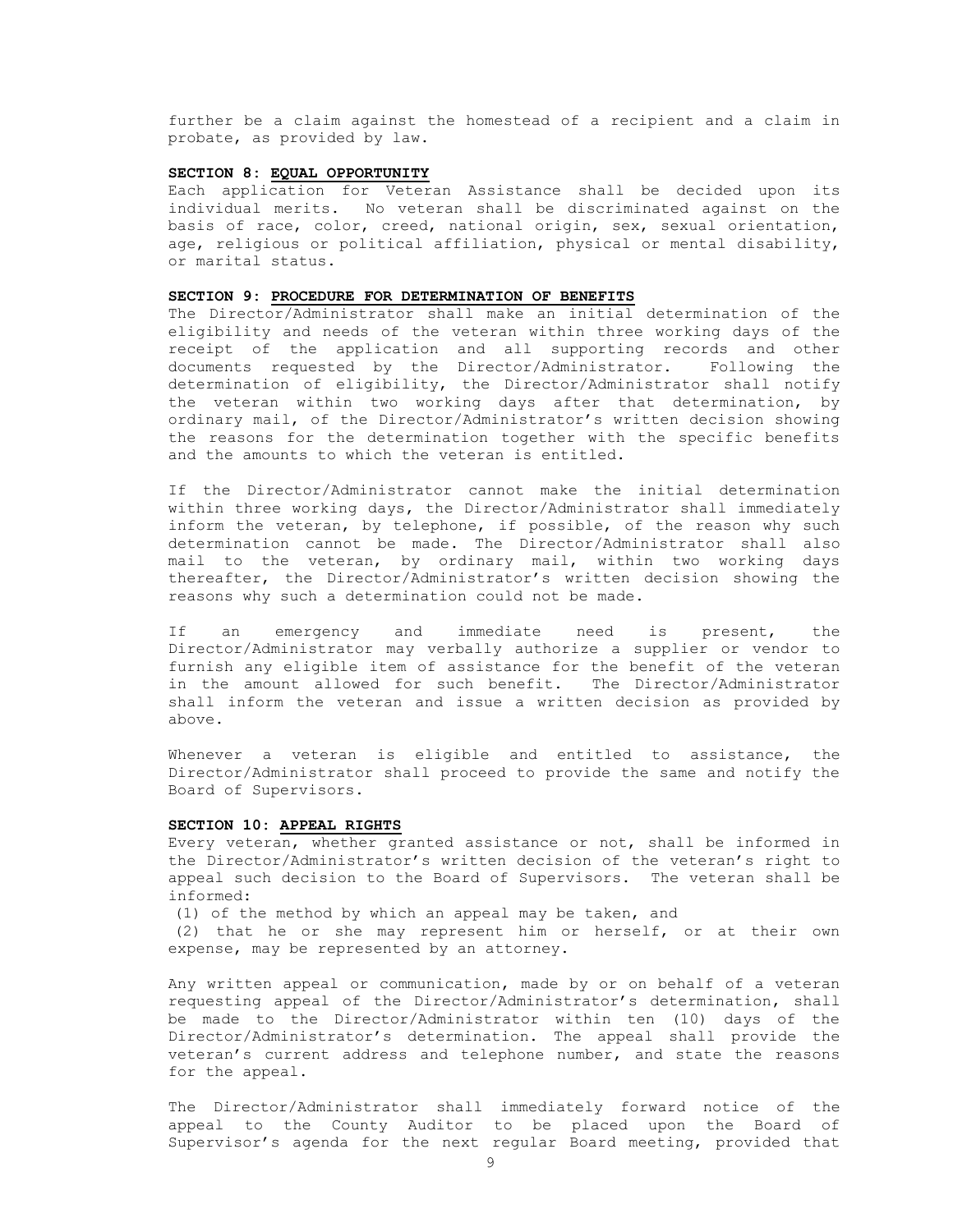further be a claim against the homestead of a recipient and a claim in probate, as provided by law.

## **SECTION 8: EQUAL OPPORTUNITY**

Each application for Veteran Assistance shall be decided upon its individual merits. No veteran shall be discriminated against on the basis of race, color, creed, national origin, sex, sexual orientation, age, religious or political affiliation, physical or mental disability, or marital status.

#### **SECTION 9: PROCEDURE FOR DETERMINATION OF BENEFITS**

The Director/Administrator shall make an initial determination of the eligibility and needs of the veteran within three working days of the receipt of the application and all supporting records and other documents requested by the Director/Administrator. Following the determination of eligibility, the Director/Administrator shall notify the veteran within two working days after that determination, by ordinary mail, of the Director/Administrator's written decision showing the reasons for the determination together with the specific benefits and the amounts to which the veteran is entitled.

If the Director/Administrator cannot make the initial determination within three working days, the Director/Administrator shall immediately inform the veteran, by telephone, if possible, of the reason why such determination cannot be made. The Director/Administrator shall also mail to the veteran, by ordinary mail, within two working days thereafter, the Director/Administrator's written decision showing the reasons why such a determination could not be made.

If an emergency and immediate need is present, the Director/Administrator may verbally authorize a supplier or vendor to furnish any eligible item of assistance for the benefit of the veteran in the amount allowed for such benefit. The Director/Administrator shall inform the veteran and issue a written decision as provided by above.

Whenever a veteran is eligible and entitled to assistance, the Director/Administrator shall proceed to provide the same and notify the Board of Supervisors.

## **SECTION 10: APPEAL RIGHTS**

Every veteran, whether granted assistance or not, shall be informed in the Director/Administrator's written decision of the veteran's right to appeal such decision to the Board of Supervisors. The veteran shall be informed:

(1) of the method by which an appeal may be taken, and

(2) that he or she may represent him or herself, or at their own expense, may be represented by an attorney.

Any written appeal or communication, made by or on behalf of a veteran requesting appeal of the Director/Administrator's determination, shall be made to the Director/Administrator within ten (10) days of the Director/Administrator's determination. The appeal shall provide the veteran's current address and telephone number, and state the reasons for the appeal.

The Director/Administrator shall immediately forward notice of the appeal to the County Auditor to be placed upon the Board of Supervisor's agenda for the next regular Board meeting, provided that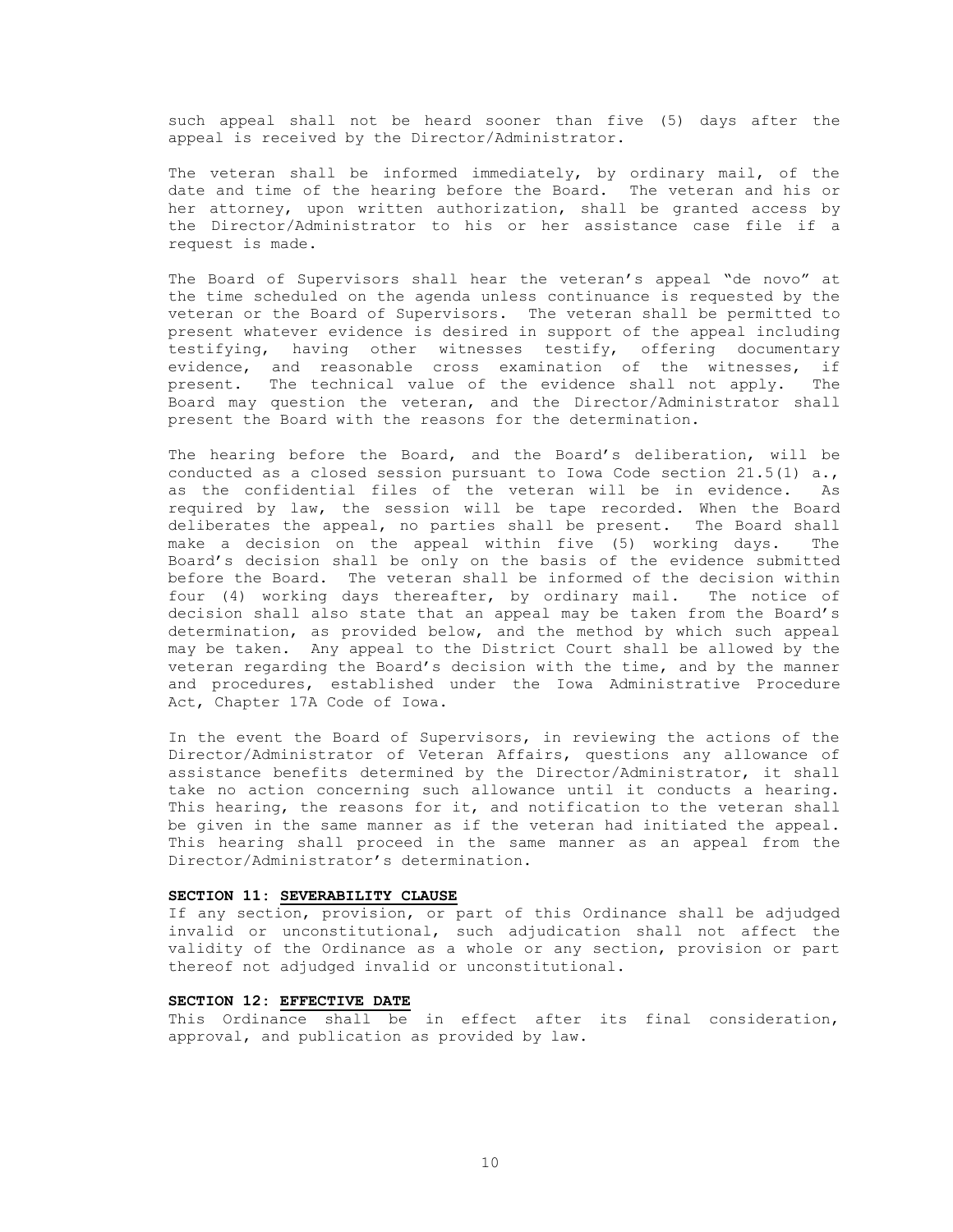such appeal shall not be heard sooner than five (5) days after the appeal is received by the Director/Administrator.

The veteran shall be informed immediately, by ordinary mail, of the date and time of the hearing before the Board. The veteran and his or her attorney, upon written authorization, shall be granted access by the Director/Administrator to his or her assistance case file if a request is made.

The Board of Supervisors shall hear the veteran's appeal "de novo" at the time scheduled on the agenda unless continuance is requested by the veteran or the Board of Supervisors. The veteran shall be permitted to present whatever evidence is desired in support of the appeal including testifying, having other witnesses testify, offering documentary evidence, and reasonable cross examination of the witnesses, if present. The technical value of the evidence shall not apply. The Board may question the veteran, and the Director/Administrator shall present the Board with the reasons for the determination.

The hearing before the Board, and the Board's deliberation, will be conducted as a closed session pursuant to Iowa Code section  $21.5(1)$  a., as the confidential files of the veteran will be in evidence. As required by law, the session will be tape recorded. When the Board deliberates the appeal, no parties shall be present. The Board shall make a decision on the appeal within five (5) working days. The Board's decision shall be only on the basis of the evidence submitted before the Board. The veteran shall be informed of the decision within four (4) working days thereafter, by ordinary mail. The notice of decision shall also state that an appeal may be taken from the Board's determination, as provided below, and the method by which such appeal may be taken. Any appeal to the District Court shall be allowed by the veteran regarding the Board's decision with the time, and by the manner and procedures, established under the Iowa Administrative Procedure Act, Chapter 17A Code of Iowa.

In the event the Board of Supervisors, in reviewing the actions of the Director/Administrator of Veteran Affairs, questions any allowance of assistance benefits determined by the Director/Administrator, it shall take no action concerning such allowance until it conducts a hearing. This hearing, the reasons for it, and notification to the veteran shall be given in the same manner as if the veteran had initiated the appeal. This hearing shall proceed in the same manner as an appeal from the Director/Administrator's determination.

#### **SECTION 11: SEVERABILITY CLAUSE**

If any section, provision, or part of this Ordinance shall be adjudged invalid or unconstitutional, such adjudication shall not affect the validity of the Ordinance as a whole or any section, provision or part thereof not adjudged invalid or unconstitutional.

# **SECTION 12: EFFECTIVE DATE**

This Ordinance shall be in effect after its final consideration, approval, and publication as provided by law.